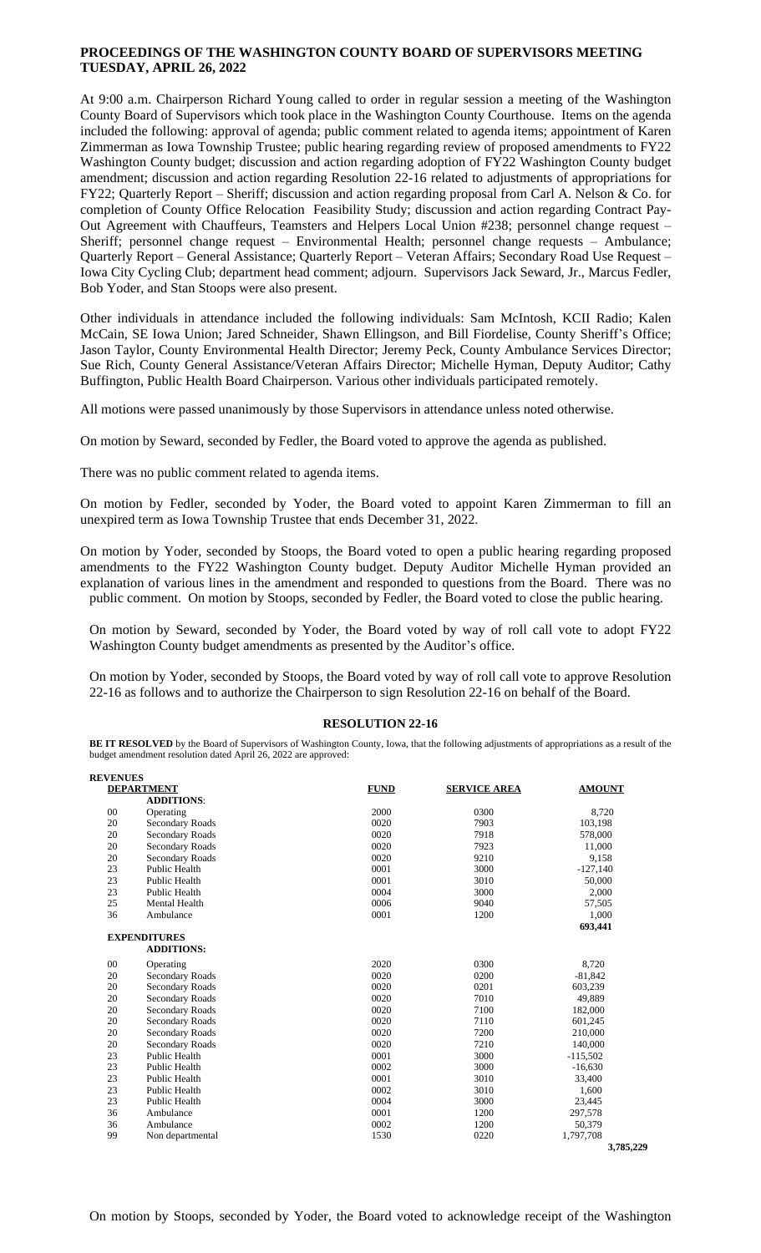## **PROCEEDINGS OF THE WASHINGTON COUNTY BOARD OF SUPERVISORS MEETING TUESDAY, APRIL 26, 2022**

At 9:00 a.m. Chairperson Richard Young called to order in regular session a meeting of the Washington County Board of Supervisors which took place in the Washington County Courthouse. Items on the agenda included the following: approval of agenda; public comment related to agenda items; appointment of Karen Zimmerman as Iowa Township Trustee; public hearing regarding review of proposed amendments to FY22 Washington County budget; discussion and action regarding adoption of FY22 Washington County budget amendment; discussion and action regarding Resolution 22-16 related to adjustments of appropriations for FY22; Quarterly Report – Sheriff; discussion and action regarding proposal from Carl A. Nelson & Co. for completion of County Office Relocation Feasibility Study; discussion and action regarding Contract Pay-Out Agreement with Chauffeurs, Teamsters and Helpers Local Union #238; personnel change request – Sheriff; personnel change request – Environmental Health; personnel change requests – Ambulance; Quarterly Report – General Assistance; Quarterly Report – Veteran Affairs; Secondary Road Use Request – Iowa City Cycling Club; department head comment; adjourn. Supervisors Jack Seward, Jr., Marcus Fedler, Bob Yoder, and Stan Stoops were also present.

Other individuals in attendance included the following individuals: Sam McIntosh, KCII Radio; Kalen McCain, SE Iowa Union; Jared Schneider, Shawn Ellingson, and Bill Fiordelise, County Sheriff's Office; Jason Taylor, County Environmental Health Director; Jeremy Peck, County Ambulance Services Director; Sue Rich, County General Assistance/Veteran Affairs Director; Michelle Hyman, Deputy Auditor; Cathy Buffington, Public Health Board Chairperson. Various other individuals participated remotely.

All motions were passed unanimously by those Supervisors in attendance unless noted otherwise.

On motion by Seward, seconded by Fedler, the Board voted to approve the agenda as published.

There was no public comment related to agenda items.

On motion by Fedler, seconded by Yoder, the Board voted to appoint Karen Zimmerman to fill an unexpired term as Iowa Township Trustee that ends December 31, 2022.

On motion by Yoder, seconded by Stoops, the Board voted to open a public hearing regarding proposed amendments to the FY22 Washington County budget. Deputy Auditor Michelle Hyman provided an explanation of various lines in the amendment and responded to questions from the Board. There was no public comment. On motion by Stoops, seconded by Fedler, the Board voted to close the public hearing.

On motion by Seward, seconded by Yoder, the Board voted by way of roll call vote to adopt FY22 Washington County budget amendments as presented by the Auditor's office.

On motion by Yoder, seconded by Stoops, the Board voted by way of roll call vote to approve Resolution 22-16 as follows and to authorize the Chairperson to sign Resolution 22-16 on behalf of the Board.

## **RESOLUTION 22-16**

**BE IT RESOLVED** by the Board of Supervisors of Washington County, Iowa, that the following adjustments of appropriations as a result of the budget amendment resolution dated April 26, 2022 are approved:

| <b>REVENUES</b>   |                        |             |                     |               |
|-------------------|------------------------|-------------|---------------------|---------------|
| <b>DEPARTMENT</b> |                        | <b>FUND</b> | <b>SERVICE AREA</b> | <b>AMOUNT</b> |
|                   | <b>ADDITIONS:</b>      |             |                     |               |
| $00\,$            | Operating              | 2000        | 0300                | 8,720         |
| 20                | Secondary Roads        | 0020        | 7903                | 103,198       |
| 20                | <b>Secondary Roads</b> | 0020        | 7918                | 578,000       |
| 20                | Secondary Roads        | 0020        | 7923                | 11,000        |
| 20                | <b>Secondary Roads</b> | 0020        | 9210                | 9,158         |
| 23                | Public Health          | 0001        | 3000                | $-127,140$    |
| 23                | Public Health          | 0001        | 3010                | 50,000        |
| 23                | Public Health          | 0004        | 3000                | 2,000         |
| 25                | Mental Health          | 0006        | 9040                | 57,505        |
| 36                | Ambulance              | 0001        | 1200                | 1,000         |
|                   |                        |             |                     | 693,441       |
|                   | <b>EXPENDITURES</b>    |             |                     |               |
|                   | <b>ADDITIONS:</b>      |             |                     |               |
| $00\,$            | Operating              | 2020        | 0300                | 8,720         |
| 20                | Secondary Roads        | 0020        | 0200                | $-81,842$     |
| 20                | Secondary Roads        | 0020        | 0201                | 603,239       |
| 20                | <b>Secondary Roads</b> | 0020        | 7010                | 49,889        |
| 20                | Secondary Roads        | 0020        | 7100                | 182,000       |
| 20                | <b>Secondary Roads</b> | 0020        | 7110                | 601,245       |
| 20                | Secondary Roads        | 0020        | 7200                | 210,000       |
| 20                | <b>Secondary Roads</b> | 0020        | 7210                | 140,000       |
| 23                | Public Health          | 0001        | 3000                | $-115,502$    |
| 23                | Public Health          | 0002        | 3000                | $-16,630$     |
| 23                | Public Health          | 0001        | 3010                | 33,400        |
| 23                | Public Health          | 0002        | 3010                | 1,600         |
| 23                | Public Health          | 0004        | 3000                | 23,445        |
| 36                | Ambulance              | 0001        | 1200                | 297,578       |
| 36                | Ambulance              | 0002        | 1200                | 50,379        |
| 99                | Non departmental       | 1530        | 0220                | 1,797,708     |
|                   |                        |             |                     | 3,785,229     |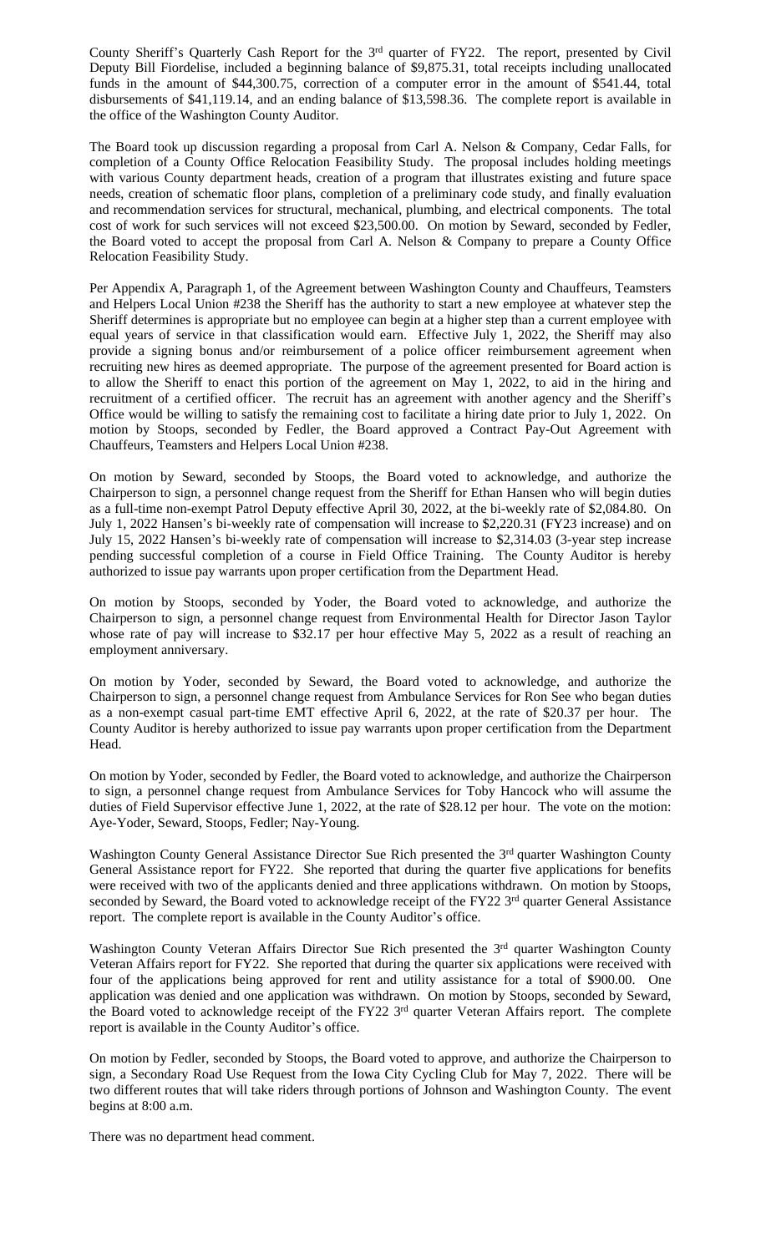County Sheriff's Quarterly Cash Report for the 3<sup>rd</sup> quarter of FY22. The report, presented by Civil Deputy Bill Fiordelise, included a beginning balance of \$9,875.31, total receipts including unallocated funds in the amount of \$44,300.75, correction of a computer error in the amount of \$541.44, total disbursements of \$41,119.14, and an ending balance of \$13,598.36. The complete report is available in the office of the Washington County Auditor.

The Board took up discussion regarding a proposal from Carl A. Nelson & Company, Cedar Falls, for completion of a County Office Relocation Feasibility Study. The proposal includes holding meetings with various County department heads, creation of a program that illustrates existing and future space needs, creation of schematic floor plans, completion of a preliminary code study, and finally evaluation and recommendation services for structural, mechanical, plumbing, and electrical components. The total cost of work for such services will not exceed \$23,500.00. On motion by Seward, seconded by Fedler, the Board voted to accept the proposal from Carl A. Nelson & Company to prepare a County Office Relocation Feasibility Study.

Per Appendix A, Paragraph 1, of the Agreement between Washington County and Chauffeurs, Teamsters and Helpers Local Union #238 the Sheriff has the authority to start a new employee at whatever step the Sheriff determines is appropriate but no employee can begin at a higher step than a current employee with equal years of service in that classification would earn. Effective July 1, 2022, the Sheriff may also provide a signing bonus and/or reimbursement of a police officer reimbursement agreement when recruiting new hires as deemed appropriate. The purpose of the agreement presented for Board action is to allow the Sheriff to enact this portion of the agreement on May 1, 2022, to aid in the hiring and recruitment of a certified officer. The recruit has an agreement with another agency and the Sheriff's Office would be willing to satisfy the remaining cost to facilitate a hiring date prior to July 1, 2022. On motion by Stoops, seconded by Fedler, the Board approved a Contract Pay-Out Agreement with Chauffeurs, Teamsters and Helpers Local Union #238.

On motion by Seward, seconded by Stoops, the Board voted to acknowledge, and authorize the Chairperson to sign, a personnel change request from the Sheriff for Ethan Hansen who will begin duties as a full-time non-exempt Patrol Deputy effective April 30, 2022, at the bi-weekly rate of \$2,084.80. On July 1, 2022 Hansen's bi-weekly rate of compensation will increase to \$2,220.31 (FY23 increase) and on July 15, 2022 Hansen's bi-weekly rate of compensation will increase to \$2,314.03 (3-year step increase pending successful completion of a course in Field Office Training. The County Auditor is hereby authorized to issue pay warrants upon proper certification from the Department Head.

On motion by Stoops, seconded by Yoder, the Board voted to acknowledge, and authorize the Chairperson to sign, a personnel change request from Environmental Health for Director Jason Taylor whose rate of pay will increase to \$32.17 per hour effective May 5, 2022 as a result of reaching an employment anniversary.

On motion by Yoder, seconded by Seward, the Board voted to acknowledge, and authorize the Chairperson to sign, a personnel change request from Ambulance Services for Ron See who began duties as a non-exempt casual part-time EMT effective April 6, 2022, at the rate of \$20.37 per hour. The County Auditor is hereby authorized to issue pay warrants upon proper certification from the Department Head.

On motion by Yoder, seconded by Fedler, the Board voted to acknowledge, and authorize the Chairperson to sign, a personnel change request from Ambulance Services for Toby Hancock who will assume the duties of Field Supervisor effective June 1, 2022, at the rate of \$28.12 per hour. The vote on the motion: Aye-Yoder, Seward, Stoops, Fedler; Nay-Young.

Washington County General Assistance Director Sue Rich presented the 3<sup>rd</sup> quarter Washington County General Assistance report for FY22. She reported that during the quarter five applications for benefits were received with two of the applicants denied and three applications withdrawn. On motion by Stoops, seconded by Seward, the Board voted to acknowledge receipt of the FY22 3rd quarter General Assistance report. The complete report is available in the County Auditor's office.

Washington County Veteran Affairs Director Sue Rich presented the 3<sup>rd</sup> quarter Washington County Veteran Affairs report for FY22. She reported that during the quarter six applications were received with four of the applications being approved for rent and utility assistance for a total of \$900.00. One application was denied and one application was withdrawn. On motion by Stoops, seconded by Seward, the Board voted to acknowledge receipt of the FY22 3<sup>rd</sup> quarter Veteran Affairs report. The complete report is available in the County Auditor's office.

On motion by Fedler, seconded by Stoops, the Board voted to approve, and authorize the Chairperson to sign, a Secondary Road Use Request from the Iowa City Cycling Club for May 7, 2022. There will be two different routes that will take riders through portions of Johnson and Washington County. The event begins at 8:00 a.m.

There was no department head comment.